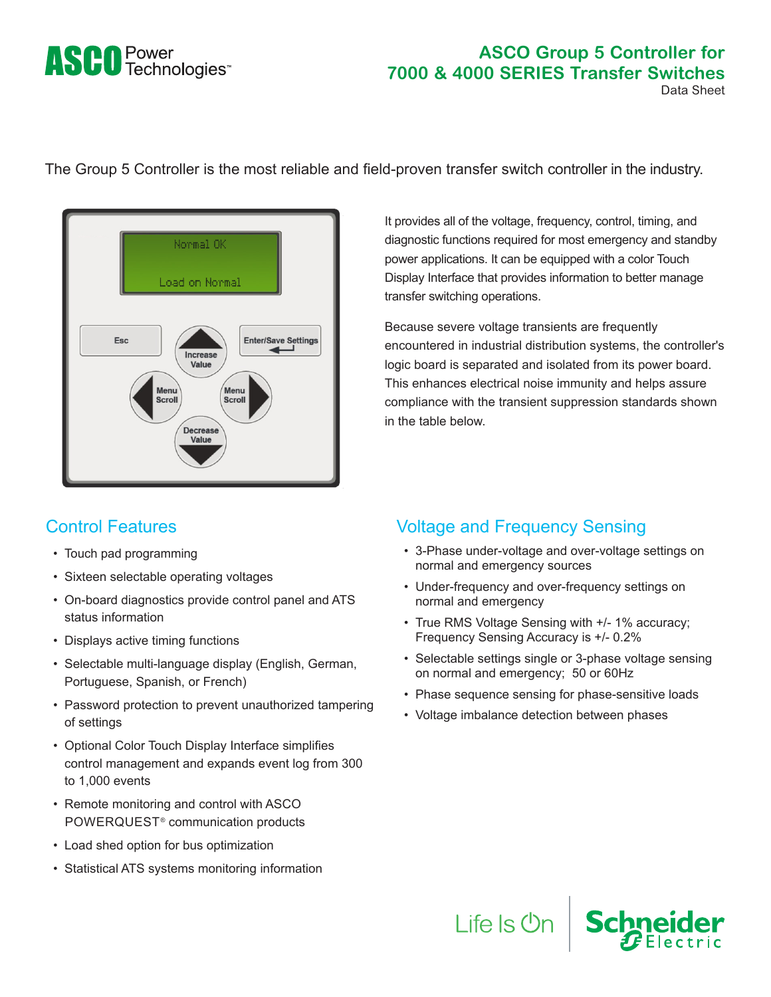# **ASCO** Power<br>
Technologies<sup>®</sup>

#### **ASCO Group 5 Controller for 7000 & 4000 SERIES Transfer Switches** Data Sheet

The Group 5 Controller is the most reliable and field-proven transfer switch controller in the industry.



## Control Features

- Touch pad programming
- Sixteen selectable operating voltages
- On-board diagnostics provide control panel and ATS status information
- Displays active timing functions
- Selectable multi-language display (English, German, Portuguese, Spanish, or French)
- Password protection to prevent unauthorized tampering of settings
- Optional Color Touch Display Interface simplifies control management and expands event log from 300 to 1,000 events
- Remote monitoring and control with ASCO POWERQUEST® communication products
- Load shed option for bus optimization
- Statistical ATS systems monitoring information

It provides all of the voltage, frequency, control, timing, and diagnostic functions required for most emergency and standby power applications. It can be equipped with a color Touch Display Interface that provides information to better manage transfer switching operations.

Because severe voltage transients are frequently encountered in industrial distribution systems, the controller's logic board is separated and isolated from its power board. This enhances electrical noise immunity and helps assure compliance with the transient suppression standards shown in the table below.

## Voltage and Frequency Sensing

- 3-Phase under-voltage and over-voltage settings on normal and emergency sources
- Under-frequency and over-frequency settings on normal and emergency
- True RMS Voltage Sensing with +/- 1% accuracy; Frequency Sensing Accuracy is +/- 0.2%
- Selectable settings single or 3-phase voltage sensing on normal and emergency; 50 or 60Hz

Life Is On Schneider

- Phase sequence sensing for phase-sensitive loads
- Voltage imbalance detection between phases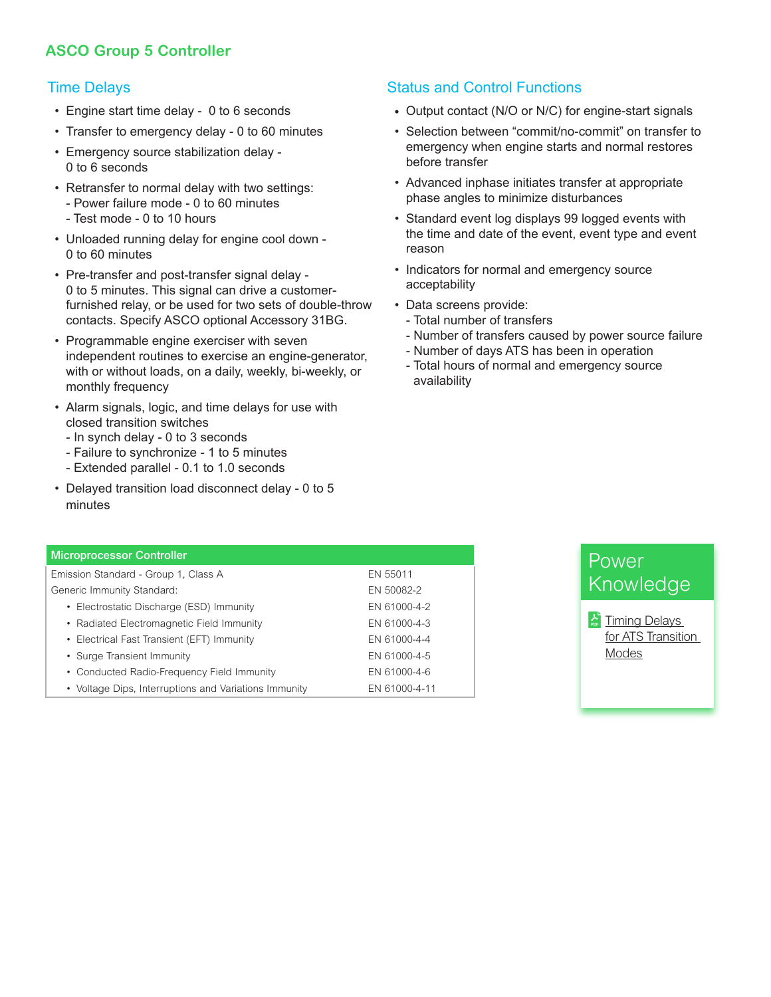## **ASCO Group 5 Controller**

#### Time Delays

- Engine start time delay 0 to 6 seconds
- Transfer to emergency delay 0 to 60 minutes
- Emergency source stabilization delay 0 to 6 seconds
- Retransfer to normal delay with two settings: - Power failure mode - 0 to 60 minutes
	- Test mode 0 to 10 hours
- Unloaded running delay for engine cool down 0 to 60 minutes
- Pre-transfer and post-transfer signal delay 0 to 5 minutes. This signal can drive a customerfurnished relay, or be used for two sets of double-throw contacts. Specify ASCO optional Accessory 31BG.
- Programmable engine exerciser with seven independent routines to exercise an engine-generator, with or without loads, on a daily, weekly, bi-weekly, or monthly frequency
- Alarm signals, logic, and time delays for use with closed transition switches
	- In synch delay 0 to 3 seconds
	- Failure to synchronize 1 to 5 minutes
	- Extended parallel 0.1 to 1.0 seconds
- Delayed transition load disconnect delay 0 to 5 minutes

## Status and Control Functions

- Output contact (N/O or N/C) for engine-start signals
- Selection between "commit/no-commit" on transfer to emergency when engine starts and normal restores before transfer
- Advanced inphase initiates transfer at appropriate phase angles to minimize disturbances
- Standard event log displays 99 logged events with the time and date of the event, event type and event reason
- Indicators for normal and emergency source acceptability
- Data screens provide:
	- Total number of transfers
	- Number of transfers caused by power source failure
	- Number of days ATS has been in operation
	- Total hours of normal and emergency source availability

| <b>Microprocessor Controller</b>                      |               |
|-------------------------------------------------------|---------------|
| Emission Standard - Group 1, Class A                  | EN 55011      |
| Generic Immunity Standard:                            | EN 50082-2    |
| • Electrostatic Discharge (ESD) Immunity              | EN 61000-4-2  |
| • Radiated Electromagnetic Field Immunity             | EN 61000-4-3  |
| • Electrical Fast Transient (EFT) Immunity            | EN 61000-4-4  |
| • Surge Transient Immunity                            | EN 61000-4-5  |
| • Conducted Radio-Frequency Field Immunity            | EN 61000-4-6  |
| • Voltage Dips, Interruptions and Variations Immunity | EN 61000-4-11 |
|                                                       |               |

# Power Knowledge

 $\frac{1}{\sqrt{2}}$  Timing Delays [for ATS Transition](https://www.ascopower.com/us/en/download/document/ASC-TS-WP-123-TD-ATS/)  [Modes](https://www.ascopower.com/us/en/download/document/ASC-TS-WP-123-TD-ATS/)